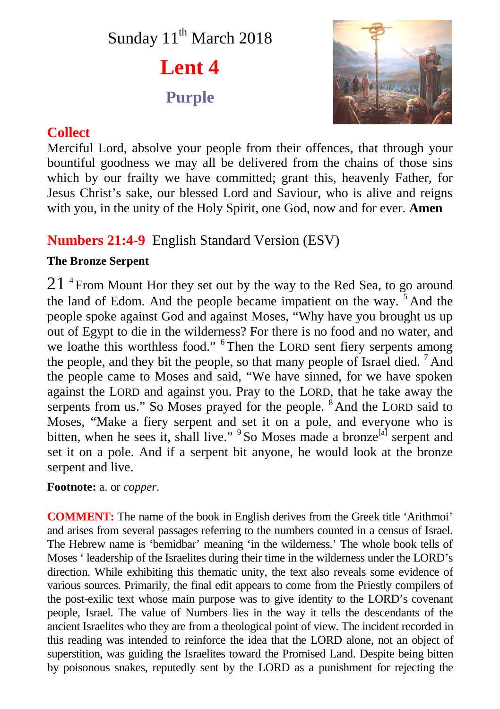# Sunday 11<sup>th</sup> March 2018

**Lent 4 Purple**



## **Collect**

Merciful Lord, absolve your people from their offences, that through your bountiful goodness we may all be delivered from the chains of those sins which by our frailty we have committed; grant this, heavenly Father, for Jesus Christ's sake, our blessed Lord and Saviour, who is alive and reigns with you, in the unity of the Holy Spirit, one God, now and for ever. **Amen**

# **Numbers 21:4-9** English Standard Version (ESV)

### **The Bronze Serpent**

 $21$  <sup>4</sup> From Mount Hor they set out by the way to the Red Sea, to go around the land of Edom. And the people became impatient on the way. <sup>5</sup> And the people spoke against God and against Moses, "Why have you brought us up out of Egypt to die in the wilderness? For there is no food and no water, and we loathe this worthless food." <sup>6</sup> Then the LORD sent fiery serpents among the people, and they bit the people, so that many people of Israel died. <sup>7</sup> And the people came to Moses and said, "We have sinned, for we have spoken against the LORD and against you. Pray to the LORD, that he take away the serpents from us." So Moses prayed for the people. <sup>8</sup> And the LORD said to Moses, "Make a fiery serpent and set it on a pole, and everyone who is bitten, when he sees it, shall live." <sup>9</sup> So Moses made a bronze<sup>[a]</sup> serpent and set it on a pole. And if a serpent bit anyone, he would look at the bronze serpent and live.

**Footnote:** a. or *copper*.

**COMMENT:** The name of the book in English derives from the Greek title 'Arithmoi' and arises from several passages referring to the numbers counted in a census of Israel. The Hebrew name is 'bemidbar' meaning 'in the wilderness.' The whole book tells of Moses ' leadership of the Israelites during their time in the wilderness under the LORD's direction. While exhibiting this thematic unity, the text also reveals some evidence of various sources. Primarily, the final edit appears to come from the Priestly compilers of the post-exilic text whose main purpose was to give identity to the LORD's covenant people, Israel. The value of Numbers lies in the way it tells the descendants of the ancient Israelites who they are from a theological point of view. The incident recorded in this reading was intended to reinforce the idea that the LORD alone, not an object of superstition, was guiding the Israelites toward the Promised Land. Despite being bitten by poisonous snakes, reputedly sent by the LORD as a punishment for rejecting the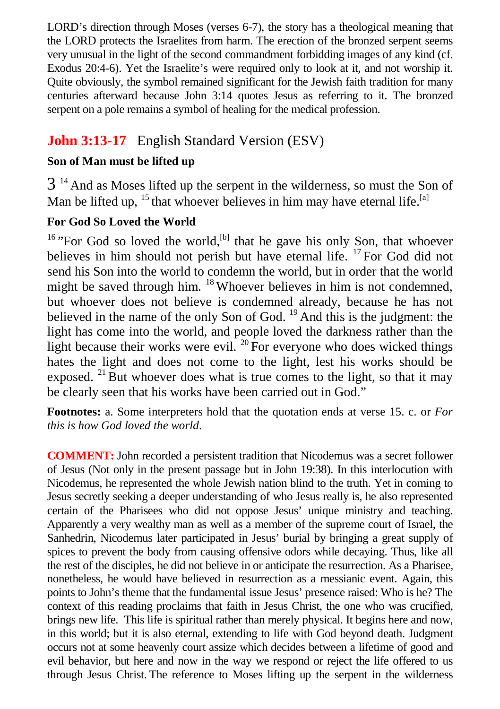LORD's direction through Moses (verses 6-7), the story has a theological meaning that the LORD protects the Israelites from harm. The erection of the bronzed serpent seems very unusual in the light of the second commandment forbidding images of any kind (cf. Exodus 20:4-6). Yet the Israelite's were required only to look at it, and not worship it. Quite obviously, the symbol remained significant for the Jewish faith tradition for many centuries afterward because John 3:14 quotes Jesus as referring to it. The bronzed serpent on a pole remains a symbol of healing for the medical profession.

# **John 3:13-17** English Standard Version (ESV)

#### **Son of Man must be lifted up**

 $3<sup>14</sup>$  And as Moses lifted up the serpent in the wilderness, so must the Son of Man be lifted up,  $^{15}$  that whoever believes in him may have eternal life.<sup>[a]</sup>

#### **For God So Loved the World**

 $16$  "For God so loved the world,<sup>[b]</sup> that he gave his only Son, that whoever believes in him should not perish but have eternal life. <sup>17</sup> For God did not send his Son into the world to condemn the world, but in order that the world might be saved through him. <sup>18</sup> Whoever believes in him is not condemned, but whoever does not believe is condemned already, because he has not believed in the name of the only Son of God.  $^{19}$  And this is the judgment: the light has come into the world, and people loved the darkness rather than the light because their works were evil.  $^{20}$  For everyone who does wicked things hates the light and does not come to the light, lest his works should be exposed.  $21$  But whoever does what is true comes to the light, so that it may be clearly seen that his works have been carried out in God."

**Footnotes:** a. Some interpreters hold that the quotation ends at verse 15. c. or *For this is how God loved the world*.

**COMMENT:** John recorded a persistent tradition that Nicodemus was a secret follower of Jesus (Not only in the present passage but in John 19:38). In this interlocution with Nicodemus, he represented the whole Jewish nation blind to the truth. Yet in coming to Jesus secretly seeking a deeper understanding of who Jesus really is, he also represented certain of the Pharisees who did not oppose Jesus' unique ministry and teaching. Apparently a very wealthy man as well as a member of the supreme court of Israel, the Sanhedrin, Nicodemus later participated in Jesus' burial by bringing a great supply of spices to prevent the body from causing offensive odors while decaying. Thus, like all the rest of the disciples, he did not believe in or anticipate the resurrection. As a Pharisee, nonetheless, he would have believed in resurrection as a messianic event. Again, this points to John's theme that the fundamental issue Jesus' presence raised: Who is he? The context of this reading proclaims that faith in Jesus Christ, the one who was crucified, brings new life. This life is spiritual rather than merely physical. It begins here and now, in this world; but it is also eternal, extending to life with God beyond death. Judgment occurs not at some heavenly court assize which decides between a lifetime of good and evil behavior, but here and now in the way we respond or reject the life offered to us through Jesus Christ. The reference to Moses lifting up the serpent in the wilderness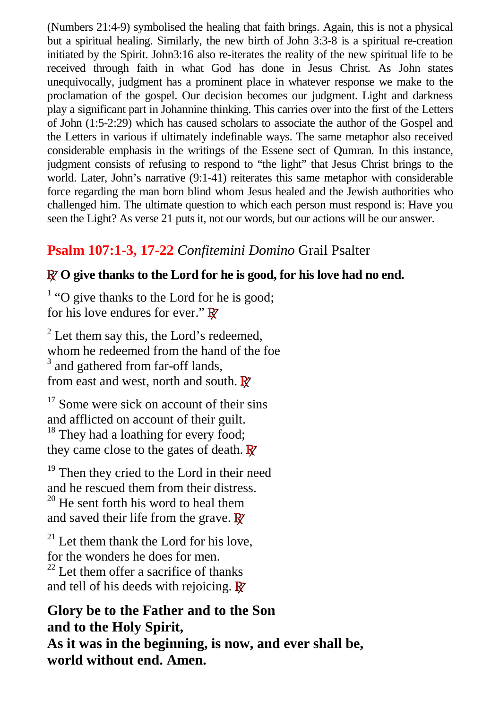(Numbers 21:4-9) symbolised the healing that faith brings. Again, this is not a physical but a spiritual healing. Similarly, the new birth of John 3:3-8 is a spiritual re-creation initiated by the Spirit. John3:16 also re-iterates the reality of the new spiritual life to be received through faith in what God has done in Jesus Christ. As John states unequivocally, judgment has a prominent place in whatever response we make to the proclamation of the gospel. Our decision becomes our judgment. Light and darkness play a significant part in Johannine thinking. This carries over into the first of the Letters of John (1:5-2:29) which has caused scholars to associate the author of the Gospel and the Letters in various if ultimately indefinable ways. The same metaphor also received considerable emphasis in the writings of the Essene sect of Qumran. In this instance, judgment consists of refusing to respond to "the light" that Jesus Christ brings to the world. Later, John's narrative (9:1-41) reiterates this same metaphor with considerable force regarding the man born blind whom Jesus healed and the Jewish authorities who challenged him. The ultimate question to which each person must respond is: Have you seen the Light? As verse 21 puts it, not our words, but our actions will be our answer.

# **Psalm 107:1-3, 17-22** *Confitemini Domino* Grail Psalter

### **R O give thanks to the Lord for he is good, for his love had no end.**

 $<sup>1</sup>$  "O give thanks to the Lord for he is good;</sup> for his love endures for ever." **R**

 $2^2$  Let them say this, the Lord's redeemed, whom he redeemed from the hand of the foe <sup>3</sup> and gathered from far-off lands, from east and west, north and south. **R**

 $17$  Some were sick on account of their sins and afflicted on account of their guilt. <sup>18</sup> They had a loathing for every food; they came close to the gates of death. **R**

<sup>19</sup> Then they cried to the Lord in their need and he rescued them from their distress.

 $20$  He sent forth his word to heal them and saved their life from the grave. **R**

 $21$  Let them thank the Lord for his love, for the wonders he does for men.  $^{22}$  Let them offer a sacrifice of thanks and tell of his deeds with rejoicing. **R**

**Glory be to the Father and to the Son and to the Holy Spirit, As it was in the beginning, is now, and ever shall be, world without end. Amen.**